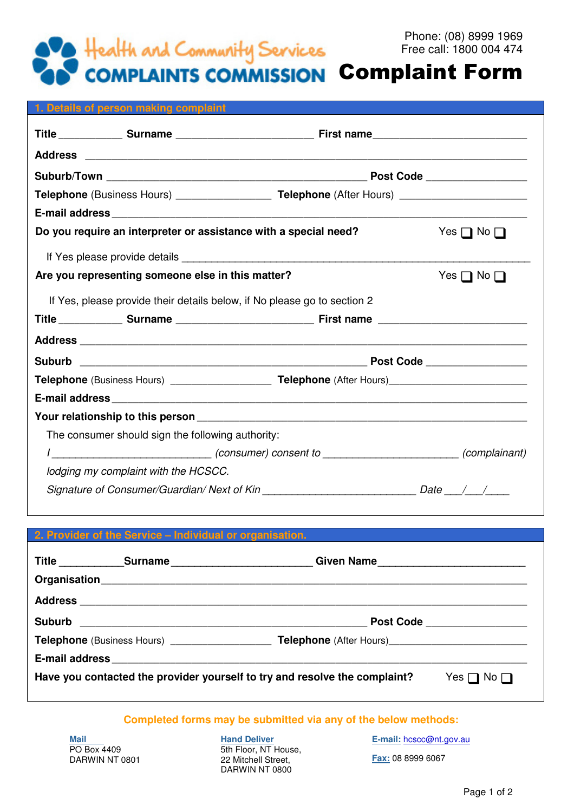

## Complaint Form

|  | 1. Details of person making complaint             |                                                                                                                 |                                  |  |  |  |
|--|---------------------------------------------------|-----------------------------------------------------------------------------------------------------------------|----------------------------------|--|--|--|
|  |                                                   |                                                                                                                 |                                  |  |  |  |
|  |                                                   |                                                                                                                 |                                  |  |  |  |
|  |                                                   |                                                                                                                 |                                  |  |  |  |
|  |                                                   | <b>Telephone</b> (Business Hours) _____________________ <b>Telephone</b> (After Hours) ________________________ |                                  |  |  |  |
|  |                                                   |                                                                                                                 |                                  |  |  |  |
|  |                                                   | Do you require an interpreter or assistance with a special need?                                                | Yes $\Box$ No $\Box$             |  |  |  |
|  |                                                   |                                                                                                                 |                                  |  |  |  |
|  | Are you representing someone else in this matter? | Yes $\Box$ No $\Box$                                                                                            |                                  |  |  |  |
|  |                                                   | If Yes, please provide their details below, if No please go to section 2                                        |                                  |  |  |  |
|  |                                                   |                                                                                                                 |                                  |  |  |  |
|  |                                                   |                                                                                                                 |                                  |  |  |  |
|  |                                                   |                                                                                                                 |                                  |  |  |  |
|  |                                                   |                                                                                                                 |                                  |  |  |  |
|  |                                                   |                                                                                                                 |                                  |  |  |  |
|  |                                                   |                                                                                                                 |                                  |  |  |  |
|  | The consumer should sign the following authority: |                                                                                                                 |                                  |  |  |  |
|  |                                                   | I_____________________________(consumer) consent to ________________________(complainant)                       |                                  |  |  |  |
|  | lodging my complaint with the HCSCC.              |                                                                                                                 |                                  |  |  |  |
|  |                                                   |                                                                                                                 | Date $\_\_\_\_\_\_\_\_\_\_\_\_\$ |  |  |  |

## **2. Provider of the Service – Individual or organisation.**  Title \_\_\_\_\_\_\_\_\_\_\_\_\_Surname \_\_\_\_\_\_\_\_\_\_\_\_\_\_\_\_\_\_\_\_\_\_\_\_\_\_\_\_Given Name \_\_\_\_\_\_\_\_\_\_\_\_\_\_\_\_\_\_\_\_\_\_\_\_\_\_\_\_\_\_\_\_\_\_ **Organisation**\_\_\_\_\_\_\_\_\_\_\_\_\_\_\_\_\_\_\_\_\_\_\_\_\_\_\_\_\_\_\_\_\_\_\_\_\_\_\_\_\_\_\_\_\_\_\_\_\_\_\_\_\_\_\_\_\_\_\_\_\_\_\_\_\_\_\_\_\_\_\_\_\_\_\_\_\_\_\_\_ **Address** \_\_\_\_\_\_\_\_\_\_\_\_\_\_\_\_\_\_\_\_\_\_\_\_\_\_\_\_\_\_\_\_\_\_\_\_\_\_\_\_\_\_\_\_\_\_\_\_\_\_\_\_\_\_\_\_\_\_\_\_\_\_\_\_\_\_\_\_\_\_\_\_\_\_\_\_\_\_\_\_\_\_\_\_ **Suburb** \_\_\_\_\_\_\_\_\_\_\_\_\_\_\_\_\_\_\_\_\_\_\_\_\_\_\_\_\_\_\_\_\_\_\_\_\_\_\_\_\_\_\_\_\_\_\_\_\_\_\_\_\_\_ **Post Code** \_\_\_\_\_\_\_\_\_\_\_\_\_\_\_\_\_\_\_ **Telephone** (Business Hours) \_\_\_\_\_\_\_\_\_\_\_\_\_\_\_\_\_\_\_ **Telephone** (After Hours)\_\_\_\_\_\_\_\_\_\_\_\_\_\_\_\_\_\_\_\_\_\_\_\_\_\_ **E-mail address** \_\_\_\_\_\_\_\_\_\_\_\_\_\_\_\_\_\_\_\_\_\_\_\_\_\_\_\_\_\_\_\_\_\_\_\_\_\_\_\_\_\_\_\_\_\_\_\_\_\_\_\_\_\_\_\_\_\_\_\_\_\_\_\_\_\_\_\_\_\_\_\_\_\_\_\_\_\_ **Have you contacted the provider yourself to try and resolve the complaint?** Yes  $\Box$  No  $\Box$

## **Completed forms may be submitted via any of the below methods:**

**Mail**  PO Box 4409 DARWIN NT 0801 **Hand Deliver**  5th Floor, NT House, 22 Mitchell Street, DARWIN NT 0800

**E-mail:** hcscc@nt.gov.au

**Fax:** 08 8999 6067